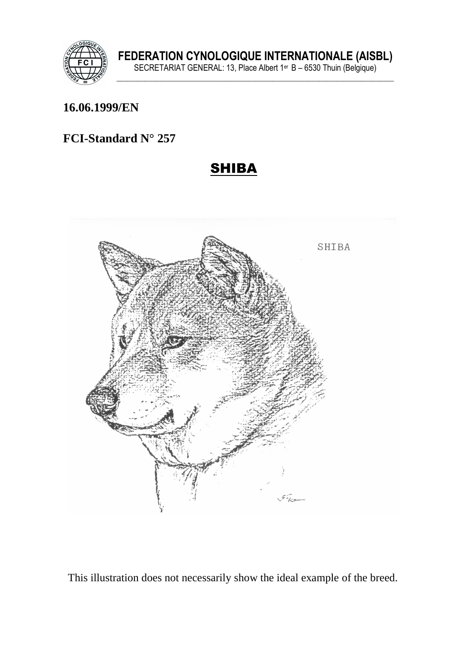

#### **16.06.1999/EN**

## **FCI-Standard N° 257**

## SHIBA



This illustration does not necessarily show the ideal example of the breed.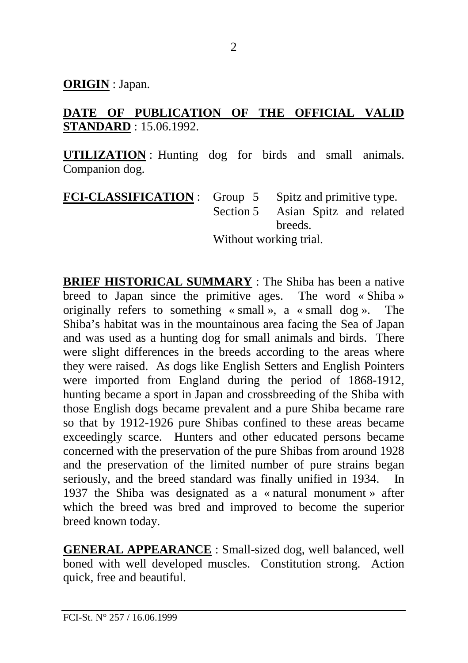**ORIGIN** : Japan.

## **DATE OF PUBLICATION OF THE OFFICIAL VALID STANDARD** : 15.06.1992.

**UTILIZATION** : Hunting dog for birds and small animals. Companion dog.

| <b>FCI-CLASSIFICATION</b> : Group 5 Spitz and primitive type. |                        |                                   |
|---------------------------------------------------------------|------------------------|-----------------------------------|
|                                                               |                        | Section 5 Asian Spitz and related |
|                                                               |                        | breeds.                           |
|                                                               | Without working trial. |                                   |

**BRIEF HISTORICAL SUMMARY** : The Shiba has been a native breed to Japan since the primitive ages. The word « Shiba » originally refers to something « small », a « small dog ». The Shiba's habitat was in the mountainous area facing the Sea of Japan and was used as a hunting dog for small animals and birds. There were slight differences in the breeds according to the areas where they were raised. As dogs like English Setters and English Pointers were imported from England during the period of 1868-1912, hunting became a sport in Japan and crossbreeding of the Shiba with those English dogs became prevalent and a pure Shiba became rare so that by 1912-1926 pure Shibas confined to these areas became exceedingly scarce. Hunters and other educated persons became concerned with the preservation of the pure Shibas from around 1928 and the preservation of the limited number of pure strains began seriously, and the breed standard was finally unified in 1934. In 1937 the Shiba was designated as a « natural monument » after which the breed was bred and improved to become the superior breed known today.

**GENERAL APPEARANCE** : Small-sized dog, well balanced, well boned with well developed muscles. Constitution strong. Action quick, free and beautiful.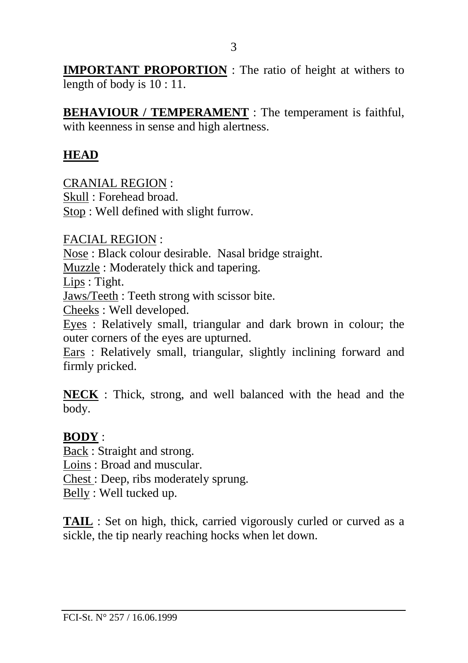**IMPORTANT PROPORTION** : The ratio of height at withers to length of body is  $10:11$ .

**BEHAVIOUR / TEMPERAMENT** : The temperament is faithful, with keenness in sense and high alertness.

#### **HEAD**

CRANIAL REGION : Skull : Forehead broad.

Stop : Well defined with slight furrow.

FACIAL REGION :

Nose : Black colour desirable. Nasal bridge straight.

Muzzle : Moderately thick and tapering.

Lips : Tight.

Jaws/Teeth : Teeth strong with scissor bite.

Cheeks : Well developed.

Eyes : Relatively small, triangular and dark brown in colour; the outer corners of the eyes are upturned.

Ears : Relatively small, triangular, slightly inclining forward and firmly pricked.

**NECK** : Thick, strong, and well balanced with the head and the body.

## **BODY** :

Back : Straight and strong.

Loins : Broad and muscular.

Chest : Deep, ribs moderately sprung.

Belly : Well tucked up.

**TAIL** : Set on high, thick, carried vigorously curled or curved as a sickle, the tip nearly reaching hocks when let down.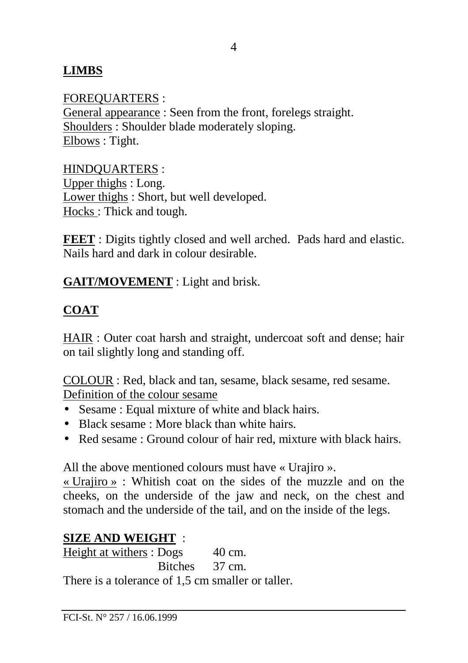## **LIMBS**

FOREQUARTERS : General appearance : Seen from the front, forelegs straight. Shoulders : Shoulder blade moderately sloping. Elbows : Tight.

#### HINDQUARTERS :

Upper thighs : Long. Lower thighs : Short, but well developed. Hocks : Thick and tough.

**FEET** : Digits tightly closed and well arched. Pads hard and elastic. Nails hard and dark in colour desirable.

**GAIT/MOVEMENT** : Light and brisk.

## **COAT**

HAIR : Outer coat harsh and straight, undercoat soft and dense; hair on tail slightly long and standing off.

COLOUR : Red, black and tan, sesame, black sesame, red sesame. Definition of the colour sesame

- Sesame : Equal mixture of white and black hairs.
- Black sesame : More black than white hairs.
- Red sesame : Ground colour of hair red, mixture with black hairs.

All the above mentioned colours must have « Urajiro ».

« Urajiro » : Whitish coat on the sides of the muzzle and on the cheeks, on the underside of the jaw and neck, on the chest and stomach and the underside of the tail, and on the inside of the legs.

#### **SIZE AND WEIGHT** :

Height at withers : Dogs 40 cm. Bitches 37 cm. There is a tolerance of 1,5 cm smaller or taller.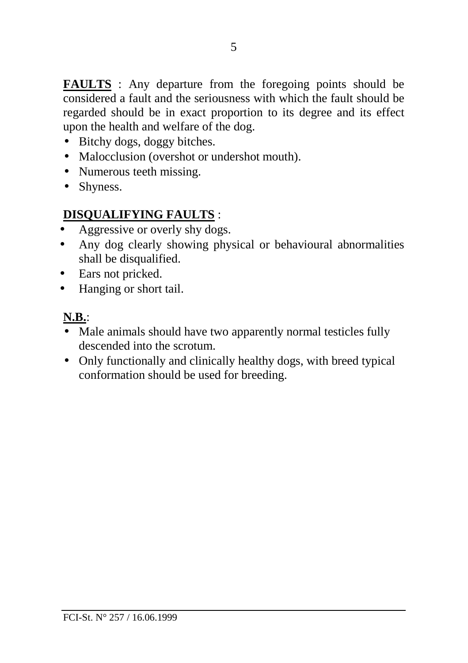**FAULTS** : Any departure from the foregoing points should be considered a fault and the seriousness with which the fault should be regarded should be in exact proportion to its degree and its effect upon the health and welfare of the dog.

- Bitchy dogs, doggy bitches.
- Malocclusion (overshot or undershot mouth).
- Numerous teeth missing.
- Shyness.

## **DISQUALIFYING FAULTS** :

- Aggressive or overly shy dogs.
- Any dog clearly showing physical or behavioural abnormalities shall be disqualified.
- Ears not pricked.
- Hanging or short tail.

## **N.B.**:

- Male animals should have two apparently normal testicles fully descended into the scrotum.
- Only functionally and clinically healthy dogs, with breed typical conformation should be used for breeding.